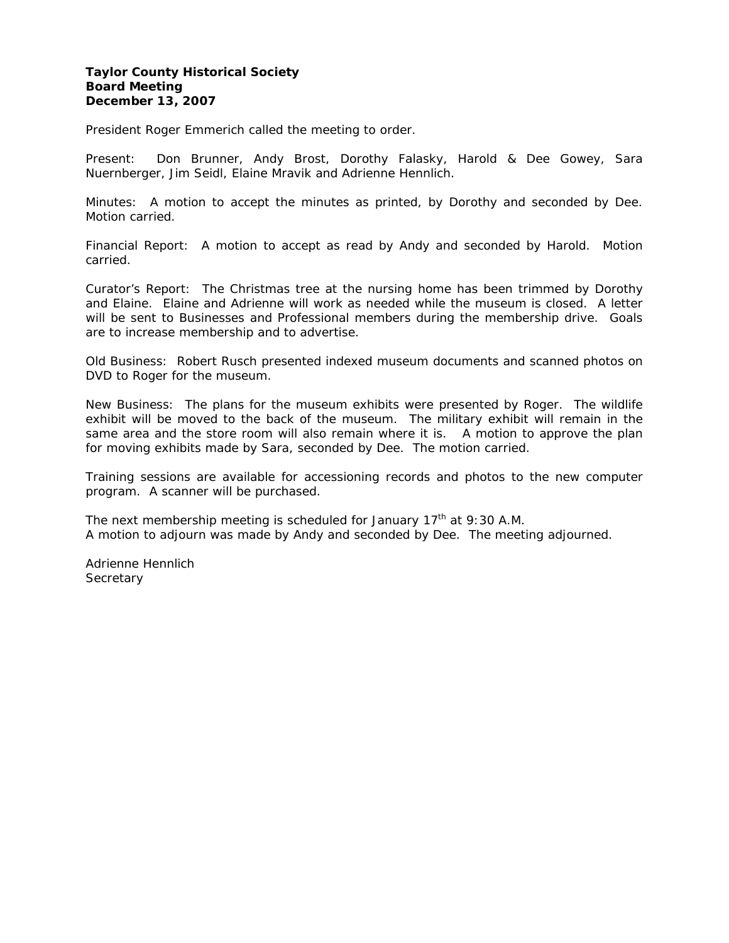### **Taylor County Historical Society Board Meeting December 13, 2007**

President Roger Emmerich called the meeting to order.

Present: Don Brunner, Andy Brost, Dorothy Falasky, Harold & Dee Gowey, Sara Nuernberger, Jim Seidl, Elaine Mravik and Adrienne Hennlich.

Minutes: A motion to accept the minutes as printed, by Dorothy and seconded by Dee. Motion carried.

Financial Report: A motion to accept as read by Andy and seconded by Harold. Motion carried.

Curator's Report: The Christmas tree at the nursing home has been trimmed by Dorothy and Elaine. Elaine and Adrienne will work as needed while the museum is closed. A letter will be sent to Businesses and Professional members during the membership drive. Goals are to increase membership and to advertise.

Old Business: Robert Rusch presented indexed museum documents and scanned photos on DVD to Roger for the museum.

New Business: The plans for the museum exhibits were presented by Roger. The wildlife exhibit will be moved to the back of the museum. The military exhibit will remain in the same area and the store room will also remain where it is. A motion to approve the plan for moving exhibits made by Sara, seconded by Dee. The motion carried.

Training sessions are available for accessioning records and photos to the new computer program. A scanner will be purchased.

The next membership meeting is scheduled for January  $17<sup>th</sup>$  at 9:30 A.M. A motion to adjourn was made by Andy and seconded by Dee. The meeting adjourned.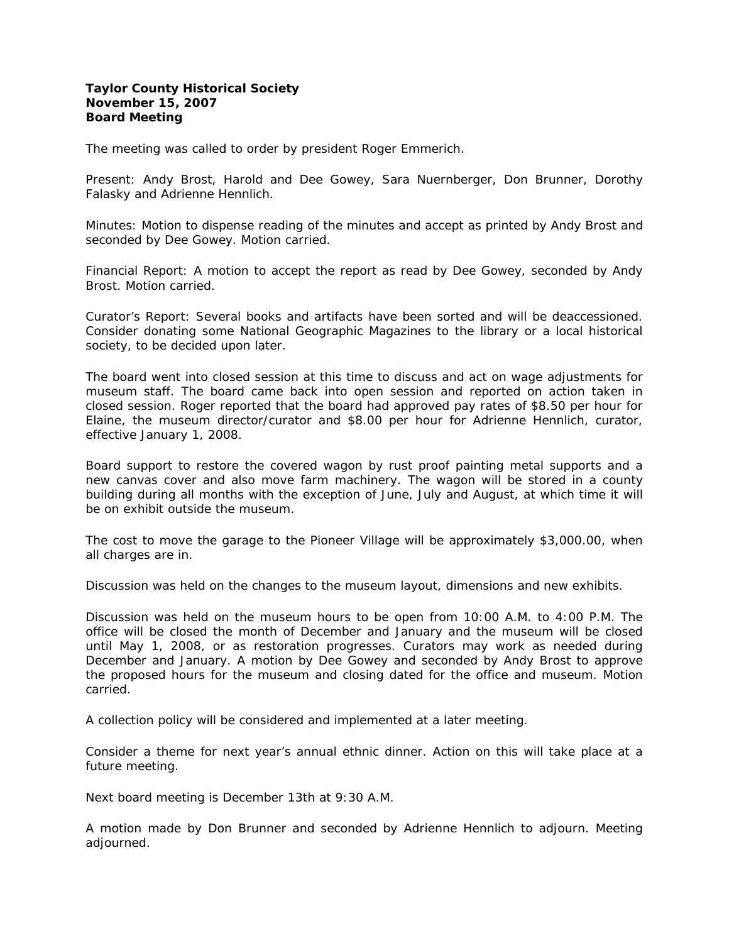### **Taylor County Historical Society November 15, 2007 Board Meeting**

The meeting was called to order by president Roger Emmerich.

Present: Andy Brost, Harold and Dee Gowey, Sara Nuernberger, Don Brunner, Dorothy Falasky and Adrienne Hennlich.

Minutes: Motion to dispense reading of the minutes and accept as printed by Andy Brost and seconded by Dee Gowey. Motion carried.

Financial Report: A motion to accept the report as read by Dee Gowey, seconded by Andy Brost. Motion carried.

Curator's Report: Several books and artifacts have been sorted and will be deaccessioned. Consider donating some National Geographic Magazines to the library or a local historical society, to be decided upon later.

The board went into closed session at this time to discuss and act on wage adjustments for museum *staff.* The board came back into open session and reported on action taken in closed session. Roger reported that the board had approved pay rates of *\$8.50* per hour for Elaine, the museum director/curator and \$8.00 per hour for Adrienne Hennlich, curator, effective January 1, 2008.

Board support to restore the covered wagon by rust proof painting metal supports and a new canvas cover and also move farm machinery. The wagon will be stored in a county building during all months with the exception of June, July and August, at which time it will be on exhibit outside the museum.

The cost to move the garage to the Pioneer Village will be approximately \$3,000.00, when all charges are in.

Discussion was held on the changes to the museum layout, dimensions and new exhibits.

Discussion was held on the museum hours to be open from 10:00 A.M. to 4:00 P.M. The office will be closed the month of December and January and the museum will be closed until May 1, 2008, or as restoration progresses. Curators may work as needed during December and January. A motion by Dee Gowey and seconded by Andy Brost to approve the proposed hours for the museum and closing dated for the office and museum. Motion carried.

A collection policy will be considered and implemented at a later meeting.

Consider a theme for next year's annual ethnic dinner. Action on this will take place at a future meeting.

Next board meeting is December 13th at 9:30 A.M.

A motion made by Don Brunner and seconded by Adrienne Hennlich to adjourn. Meeting adjourned.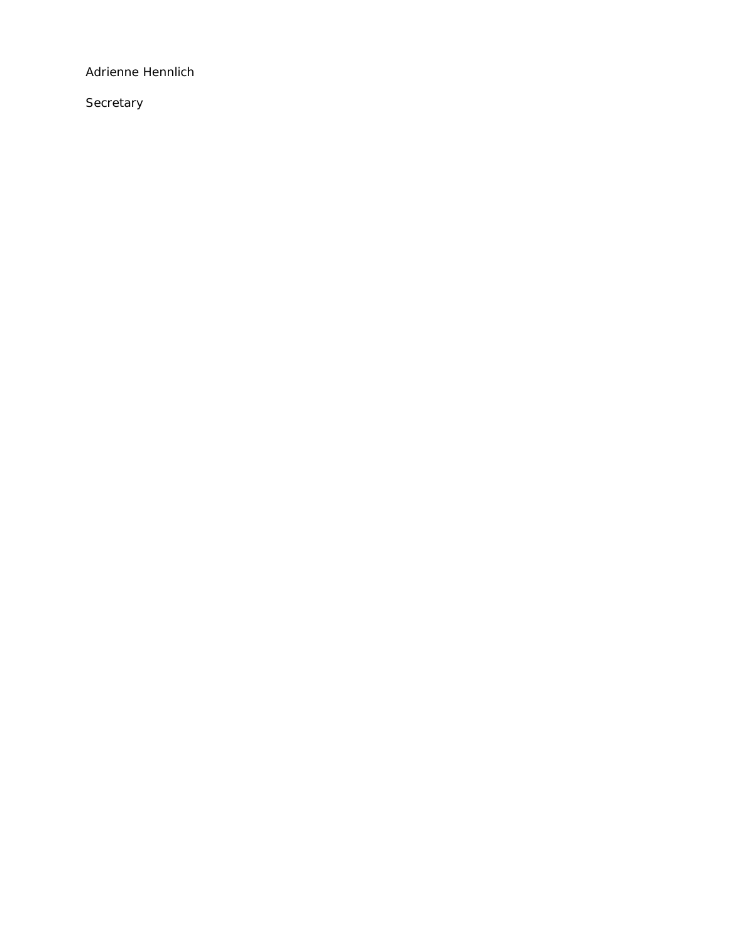Adrienne Hennlich

**Secretary**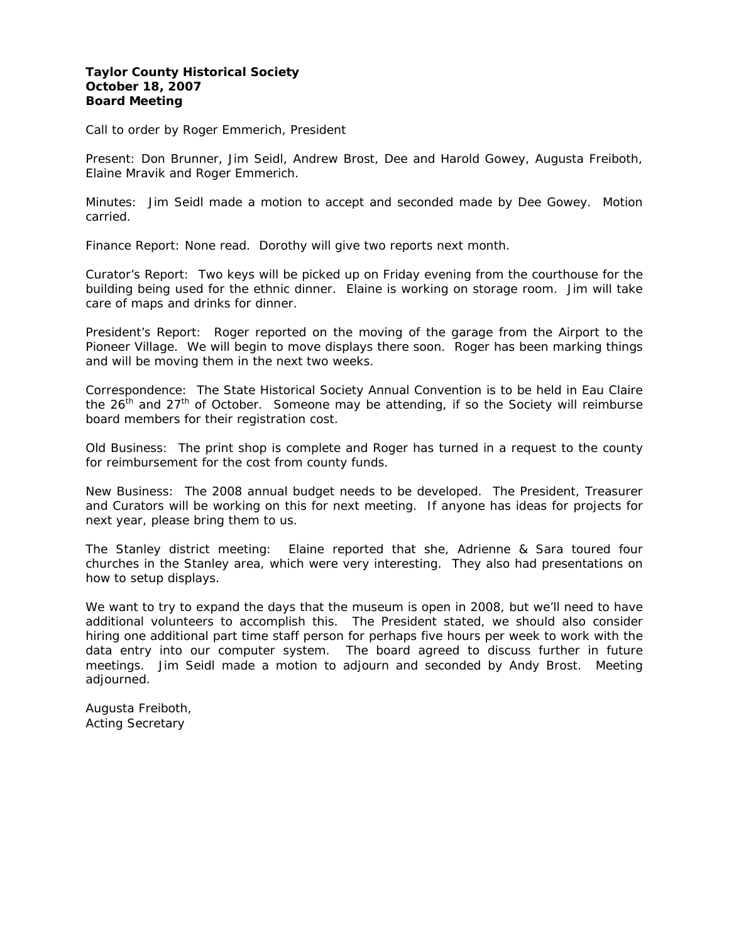# **Taylor County Historical Society October 18, 2007 Board Meeting**

Call to order by Roger Emmerich, President

Present: Don Brunner, Jim Seidl, Andrew Brost, Dee and Harold Gowey, Augusta Freiboth, Elaine Mravik and Roger Emmerich.

Minutes: Jim Seidl made a motion to accept and seconded made by Dee Gowey. Motion carried.

Finance Report: None read. Dorothy will give two reports next month.

Curator's Report: Two keys will be picked up on Friday evening from the courthouse for the building being used for the ethnic dinner. Elaine is working on storage room. Jim will take care of maps and drinks for dinner.

President's Report: Roger reported on the moving of the garage from the Airport to the Pioneer Village. We will begin to move displays there soon. Roger has been marking things and will be moving them in the next two weeks.

Correspondence: The State Historical Society Annual Convention is to be held in Eau Claire the  $26<sup>th</sup>$  and  $27<sup>th</sup>$  of October. Someone may be attending, if so the Society will reimburse board members for their registration cost.

Old Business: The print shop is complete and Roger has turned in a request to the county for reimbursement for the cost from county funds.

New Business: The 2008 annual budget needs to be developed. The President, Treasurer and Curators will be working on this for next meeting. If anyone has ideas for projects for next year, please bring them to us.

The Stanley district meeting: Elaine reported that she, Adrienne & Sara toured four churches in the Stanley area, which were very interesting. They also had presentations on how to setup displays.

We want to try to expand the days that the museum is open in 2008, but we'll need to have additional volunteers to accomplish this. The President stated, we should also consider hiring one additional part time staff person for perhaps five hours per week to work with the data entry into our computer system. The board agreed to discuss further in future meetings. Jim Seidl made a motion to adjourn and seconded by Andy Brost. Meeting adjourned.

Augusta Freiboth, Acting Secretary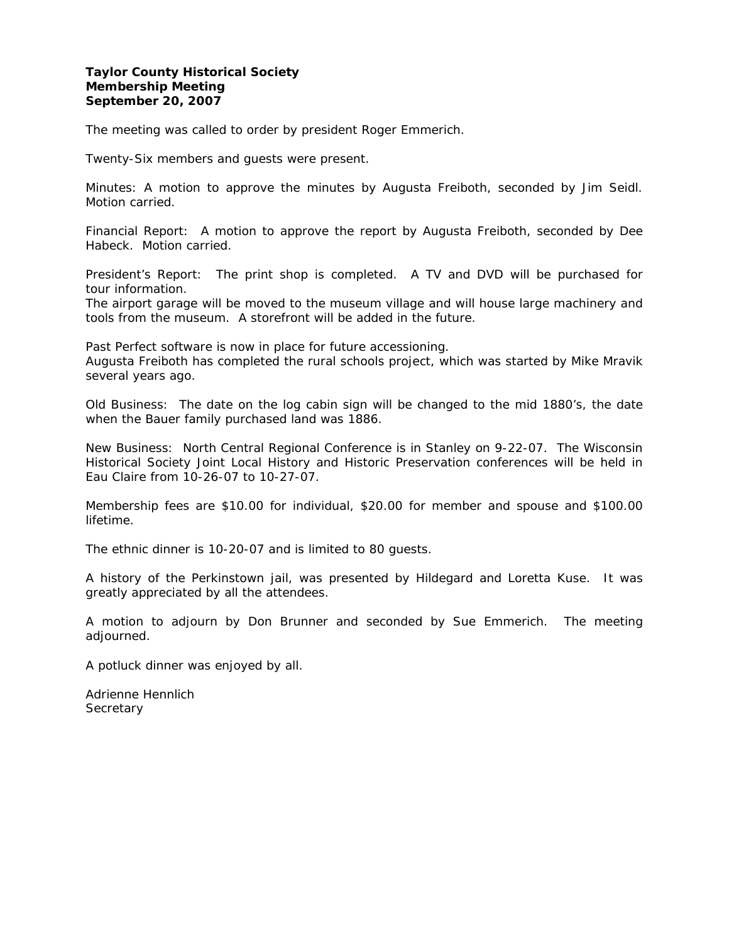# **Taylor County Historical Society Membership Meeting September 20, 2007**

The meeting was called to order by president Roger Emmerich.

Twenty-Six members and guests were present.

Minutes: A motion to approve the minutes by Augusta Freiboth, seconded by Jim Seidl. Motion carried.

Financial Report: A motion to approve the report by Augusta Freiboth, seconded by Dee Habeck. Motion carried.

President's Report: The print shop is completed. A TV and DVD will be purchased for tour information.

The airport garage will be moved to the museum village and will house large machinery and tools from the museum. A storefront will be added in the future.

Past Perfect software is now in place for future accessioning. Augusta Freiboth has completed the rural schools project, which was started by Mike Mravik several years ago.

Old Business: The date on the log cabin sign will be changed to the mid 1880's, the date when the Bauer family purchased land was 1886.

New Business: North Central Regional Conference is in Stanley on 9-22-07. The Wisconsin Historical Society Joint Local History and Historic Preservation conferences will be held in Eau Claire from 10-26-07 to 10-27-07.

Membership fees are \$10.00 for individual, \$20.00 for member and spouse and \$100.00 lifetime.

The ethnic dinner is 10-20-07 and is limited to 80 guests.

A history of the Perkinstown jail, was presented by Hildegard and Loretta Kuse. It was greatly appreciated by all the attendees.

A motion to adjourn by Don Brunner and seconded by Sue Emmerich. The meeting adjourned.

A potluck dinner was enjoyed by all.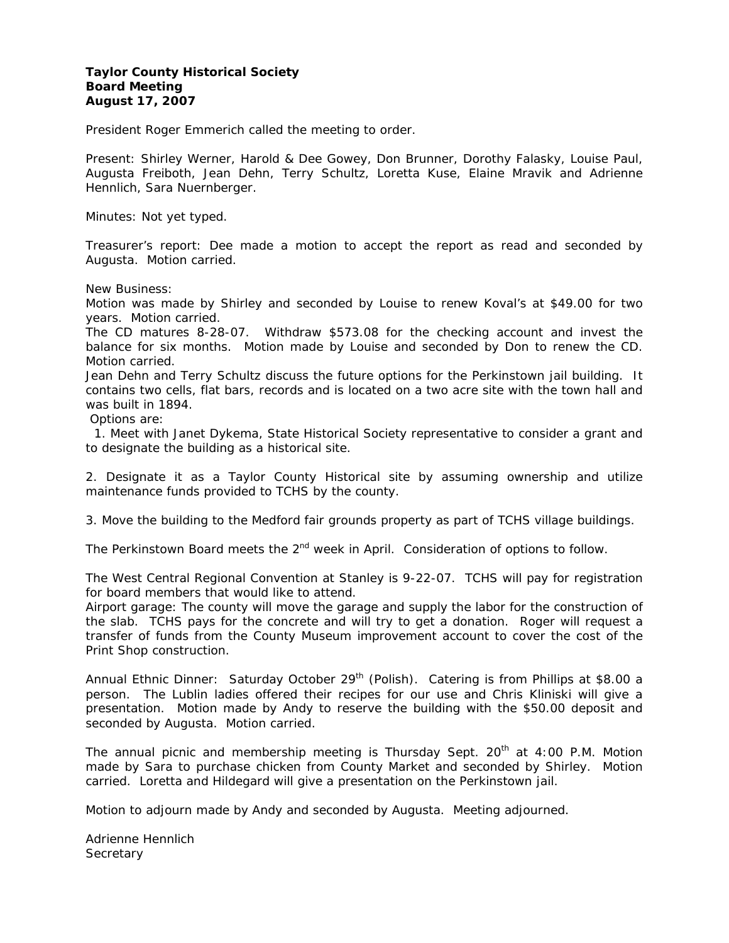# **Taylor County Historical Society Board Meeting August 17, 2007**

President Roger Emmerich called the meeting to order.

Present: Shirley Werner, Harold & Dee Gowey, Don Brunner, Dorothy Falasky, Louise Paul, Augusta Freiboth, Jean Dehn, Terry Schultz, Loretta Kuse, Elaine Mravik and Adrienne Hennlich, Sara Nuernberger.

Minutes: Not yet typed.

Treasurer's report: Dee made a motion to accept the report as read and seconded by Augusta. Motion carried.

New Business:

Motion was made by Shirley and seconded by Louise to renew Koval's at \$49.00 for two years. Motion carried.

The CD matures 8-28-07. Withdraw \$573.08 for the checking account and invest the balance for six months. Motion made by Louise and seconded by Don to renew the CD. Motion carried.

Jean Dehn and Terry Schultz discuss the future options for the Perkinstown jail building. It contains two cells, flat bars, records and is located on a two acre site with the town hall and was built in 1894.

Options are:

 1. Meet with Janet Dykema, State Historical Society representative to consider a grant and to designate the building as a historical site.

2. Designate it as a Taylor County Historical site by assuming ownership and utilize maintenance funds provided to TCHS by the county.

3. Move the building to the Medford fair grounds property as part of TCHS village buildings.

The Perkinstown Board meets the 2<sup>nd</sup> week in April. Consideration of options to follow.

The West Central Regional Convention at Stanley is 9-22-07. TCHS will pay for registration for board members that would like to attend.

Airport garage: The county will move the garage and supply the labor for the construction of the slab. TCHS pays for the concrete and will try to get a donation. Roger will request a transfer of funds from the County Museum improvement account to cover the cost of the Print Shop construction.

Annual Ethnic Dinner: Saturday October 29<sup>th</sup> (Polish). Catering is from Phillips at \$8.00 a person. The Lublin ladies offered their recipes for our use and Chris Kliniski will give a presentation. Motion made by Andy to reserve the building with the \$50.00 deposit and seconded by Augusta. Motion carried.

The annual picnic and membership meeting is Thursday Sept.  $20<sup>th</sup>$  at 4:00 P.M. Motion made by Sara to purchase chicken from County Market and seconded by Shirley. Motion carried. Loretta and Hildegard will give a presentation on the Perkinstown jail.

Motion to adjourn made by Andy and seconded by Augusta. Meeting adjourned.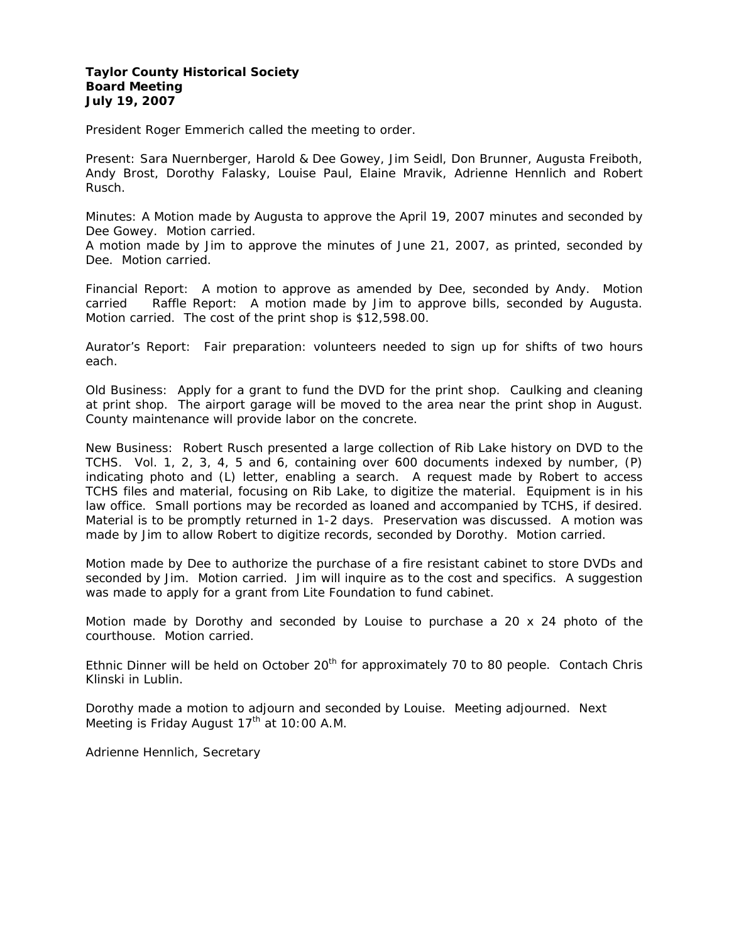# **Taylor County Historical Society Board Meeting July 19, 2007**

President Roger Emmerich called the meeting to order.

Present: Sara Nuernberger, Harold & Dee Gowey, Jim Seidl, Don Brunner, Augusta Freiboth, Andy Brost, Dorothy Falasky, Louise Paul, Elaine Mravik, Adrienne Hennlich and Robert Rusch.

Minutes: A Motion made by Augusta to approve the April 19, 2007 minutes and seconded by Dee Gowey. Motion carried.

A motion made by Jim to approve the minutes of June 21, 2007, as printed, seconded by Dee. Motion carried.

Financial Report: A motion to approve as amended by Dee, seconded by Andy. Motion carried Raffle Report: A motion made by Jim to approve bills, seconded by Augusta. Motion carried. The cost of the print shop is \$12,598.00.

Aurator's Report: Fair preparation: volunteers needed to sign up for shifts of two hours each.

Old Business: Apply for a grant to fund the DVD for the print shop. Caulking and cleaning at print shop. The airport garage will be moved to the area near the print shop in August. County maintenance will provide labor on the concrete.

New Business: Robert Rusch presented a large collection of Rib Lake history on DVD to the TCHS. Vol. 1, 2, 3, 4, 5 and 6, containing over 600 documents indexed by number, (P) indicating photo and (L) letter, enabling a search. A request made by Robert to access TCHS files and material, focusing on Rib Lake, to digitize the material. Equipment is in his law office. Small portions may be recorded as loaned and accompanied by TCHS, if desired. Material is to be promptly returned in 1-2 days. Preservation was discussed. A motion was made by Jim to allow Robert to digitize records, seconded by Dorothy. Motion carried.

Motion made by Dee to authorize the purchase of a fire resistant cabinet to store DVDs and seconded by Jim. Motion carried. Jim will inquire as to the cost and specifics. A suggestion was made to apply for a grant from Lite Foundation to fund cabinet.

Motion made by Dorothy and seconded by Louise to purchase a 20 x 24 photo of the courthouse. Motion carried.

Ethnic Dinner will be held on October  $20<sup>th</sup>$  for approximately 70 to 80 people. Contach Chris Klinski in Lublin.

Dorothy made a motion to adjourn and seconded by Louise. Meeting adjourned. Next Meeting is Friday August  $17<sup>th</sup>$  at 10:00 A.M.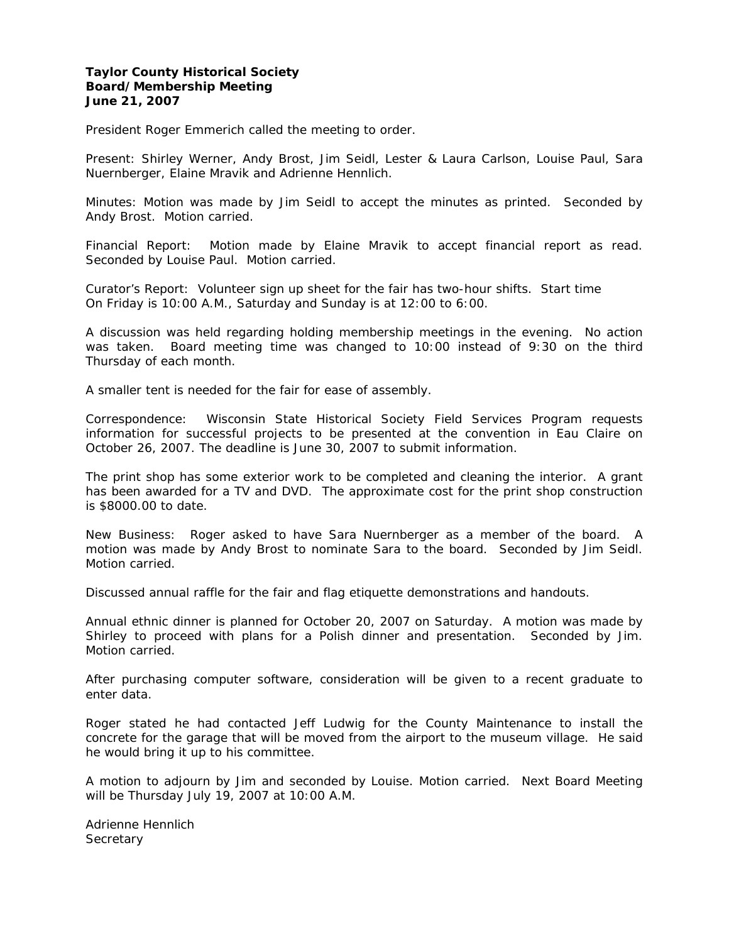#### **Taylor County Historical Society Board/Membership Meeting June 21, 2007**

President Roger Emmerich called the meeting to order.

Present: Shirley Werner, Andy Brost, Jim Seidl, Lester & Laura Carlson, Louise Paul, Sara Nuernberger, Elaine Mravik and Adrienne Hennlich.

Minutes: Motion was made by Jim Seidl to accept the minutes as printed. Seconded by Andy Brost. Motion carried.

Financial Report: Motion made by Elaine Mravik to accept financial report as read. Seconded by Louise Paul. Motion carried.

Curator's Report: Volunteer sign up sheet for the fair has two-hour shifts. Start time On Friday is 10:00 A.M., Saturday and Sunday is at 12:00 to 6:00.

A discussion was held regarding holding membership meetings in the evening. No action was taken. Board meeting time was changed to 10:00 instead of 9:30 on the third Thursday of each month.

A smaller tent is needed for the fair for ease of assembly.

Correspondence: Wisconsin State Historical Society Field Services Program requests information for successful projects to be presented at the convention in Eau Claire on October 26, 2007. The deadline is June 30, 2007 to submit information.

The print shop has some exterior work to be completed and cleaning the interior. A grant has been awarded for a TV and DVD. The approximate cost for the print shop construction is \$8000.00 to date.

New Business: Roger asked to have Sara Nuernberger as a member of the board. A motion was made by Andy Brost to nominate Sara to the board. Seconded by Jim Seidl. Motion carried.

Discussed annual raffle for the fair and flag etiquette demonstrations and handouts.

Annual ethnic dinner is planned for October 20, 2007 on Saturday. A motion was made by Shirley to proceed with plans for a Polish dinner and presentation. Seconded by Jim. Motion carried.

After purchasing computer software, consideration will be given to a recent graduate to enter data.

Roger stated he had contacted Jeff Ludwig for the County Maintenance to install the concrete for the garage that will be moved from the airport to the museum village. He said he would bring it up to his committee.

A motion to adjourn by Jim and seconded by Louise. Motion carried. Next Board Meeting will be Thursday July 19, 2007 at 10:00 A.M.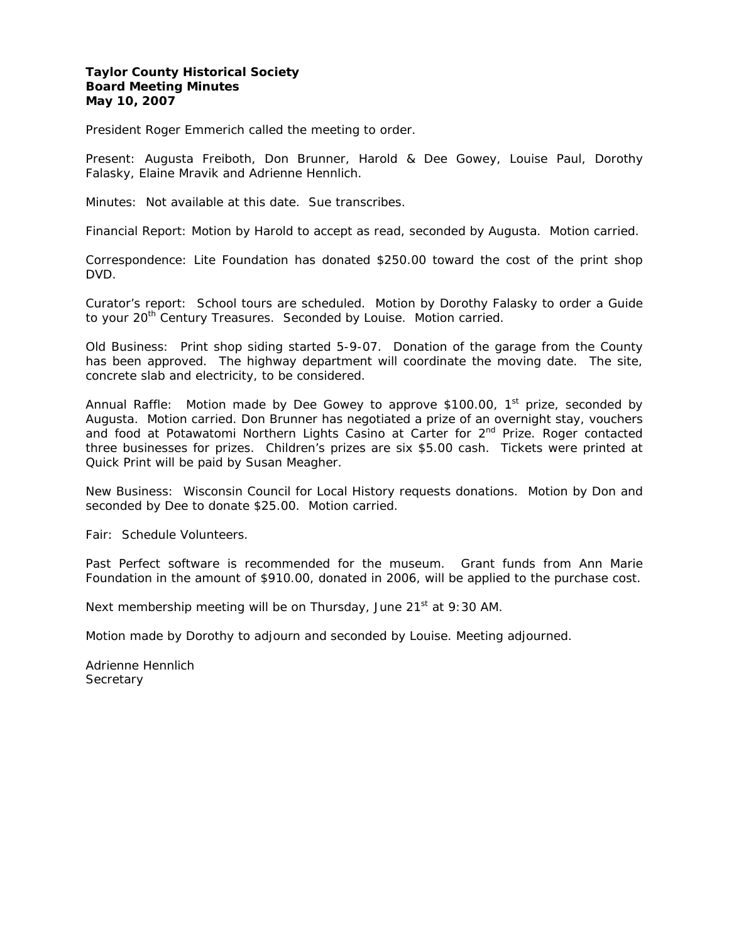#### **Taylor County Historical Society Board Meeting Minutes May 10, 2007**

President Roger Emmerich called the meeting to order.

Present: Augusta Freiboth, Don Brunner, Harold & Dee Gowey, Louise Paul, Dorothy Falasky, Elaine Mravik and Adrienne Hennlich.

Minutes: Not available at this date. Sue transcribes.

Financial Report: Motion by Harold to accept as read, seconded by Augusta. Motion carried.

Correspondence: Lite Foundation has donated \$250.00 toward the cost of the print shop DVD.

Curator's report: School tours are scheduled. Motion by Dorothy Falasky to order a Guide to your 20<sup>th</sup> Century Treasures. Seconded by Louise. Motion carried.

Old Business: Print shop siding started 5-9-07. Donation of the garage from the County has been approved. The highway department will coordinate the moving date. The site, concrete slab and electricity, to be considered.

Annual Raffle: Motion made by Dee Gowey to approve \$100.00,  $1<sup>st</sup>$  prize, seconded by Augusta. Motion carried. Don Brunner has negotiated a prize of an overnight stay, vouchers and food at Potawatomi Northern Lights Casino at Carter for 2<sup>nd</sup> Prize. Roger contacted three businesses for prizes. Children's prizes are six \$5.00 cash. Tickets were printed at Quick Print will be paid by Susan Meagher.

New Business: Wisconsin Council for Local History requests donations. Motion by Don and seconded by Dee to donate \$25.00. Motion carried.

Fair: Schedule Volunteers.

Past Perfect software is recommended for the museum. Grant funds from Ann Marie Foundation in the amount of \$910.00, donated in 2006, will be applied to the purchase cost.

Next membership meeting will be on Thursday, June  $21<sup>st</sup>$  at 9:30 AM.

Motion made by Dorothy to adjourn and seconded by Louise. Meeting adjourned.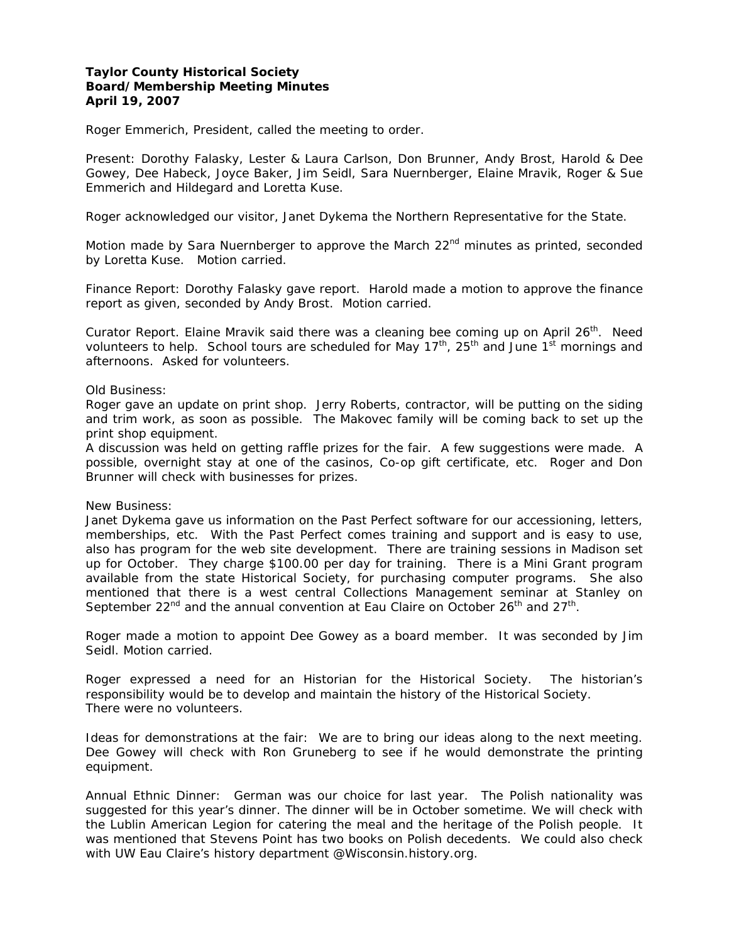# **Taylor County Historical Society Board/Membership Meeting Minutes April 19, 2007**

Roger Emmerich, President, called the meeting to order.

Present: Dorothy Falasky, Lester & Laura Carlson, Don Brunner, Andy Brost, Harold & Dee Gowey, Dee Habeck, Joyce Baker, Jim Seidl, Sara Nuernberger, Elaine Mravik, Roger & Sue Emmerich and Hildegard and Loretta Kuse.

Roger acknowledged our visitor, Janet Dykema the Northern Representative for the State.

Motion made by Sara Nuernberger to approve the March  $22<sup>nd</sup>$  minutes as printed, seconded by Loretta Kuse. Motion carried.

Finance Report: Dorothy Falasky gave report. Harold made a motion to approve the finance report as given, seconded by Andy Brost. Motion carried.

Curator Report. Elaine Mravik said there was a cleaning bee coming up on April  $26^{th}$ . Need volunteers to help. School tours are scheduled for May  $17<sup>th</sup>$ , 25<sup>th</sup> and June 1<sup>st</sup> mornings and afternoons. Asked for volunteers.

#### Old Business:

Roger gave an update on print shop. Jerry Roberts, contractor, will be putting on the siding and trim work, as soon as possible. The Makovec family will be coming back to set up the print shop equipment.

A discussion was held on getting raffle prizes for the fair. A few suggestions were made. A possible, overnight stay at one of the casinos, Co-op gift certificate, etc. Roger and Don Brunner will check with businesses for prizes.

#### New Business:

Janet Dykema gave us information on the Past Perfect software for our accessioning, letters, memberships, etc. With the Past Perfect comes training and support and is easy to use, also has program for the web site development. There are training sessions in Madison set up for October. They charge \$100.00 per day for training. There is a Mini Grant program available from the state Historical Society, for purchasing computer programs. She also mentioned that there is a west central Collections Management seminar at Stanley on September 22<sup>nd</sup> and the annual convention at Eau Claire on October 26<sup>th</sup> and 27<sup>th</sup>.

Roger made a motion to appoint Dee Gowey as a board member. It was seconded by Jim Seidl. Motion carried.

Roger expressed a need for an Historian for the Historical Society. The historian's responsibility would be to develop and maintain the history of the Historical Society. There were no volunteers.

Ideas for demonstrations at the fair: We are to bring our ideas along to the next meeting. Dee Gowey will check with Ron Gruneberg to see if he would demonstrate the printing equipment.

Annual Ethnic Dinner: German was our choice for last year. The Polish nationality was suggested for this year's dinner. The dinner will be in October sometime. We will check with the Lublin American Legion for catering the meal and the heritage of the Polish people. It was mentioned that Stevens Point has two books on Polish decedents. We could also check with UW Eau Claire's history department @Wisconsin.history.org.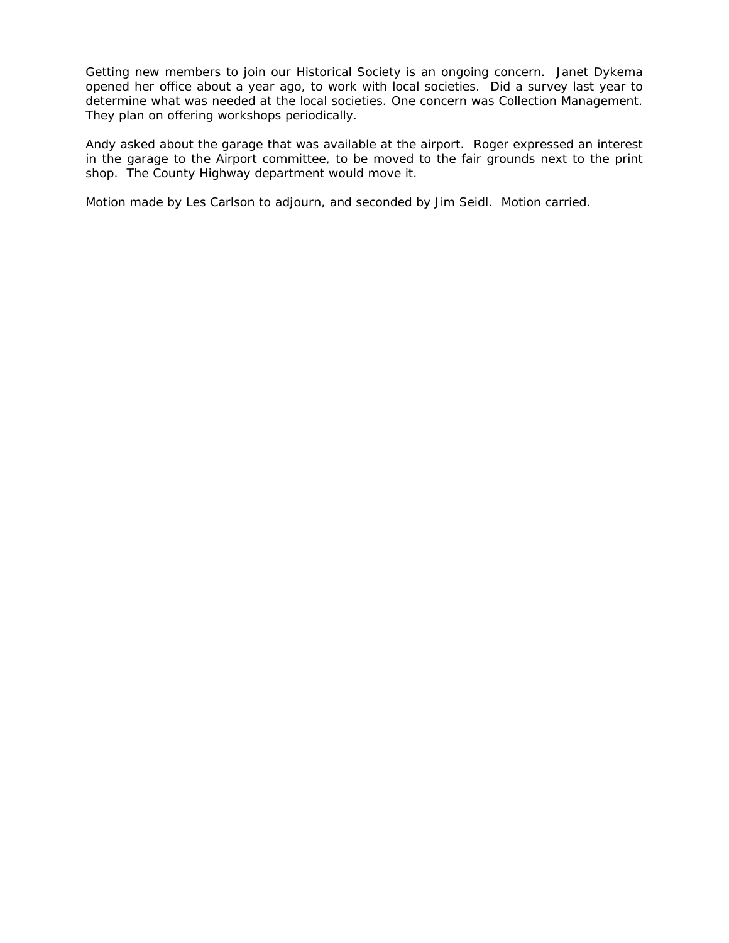Getting new members to join our Historical Society is an ongoing concern. Janet Dykema opened her office about a year ago, to work with local societies. Did a survey last year to determine what was needed at the local societies. One concern was Collection Management. They plan on offering workshops periodically.

Andy asked about the garage that was available at the airport. Roger expressed an interest in the garage to the Airport committee, to be moved to the fair grounds next to the print shop. The County Highway department would move it.

Motion made by Les Carlson to adjourn, and seconded by Jim Seidl. Motion carried.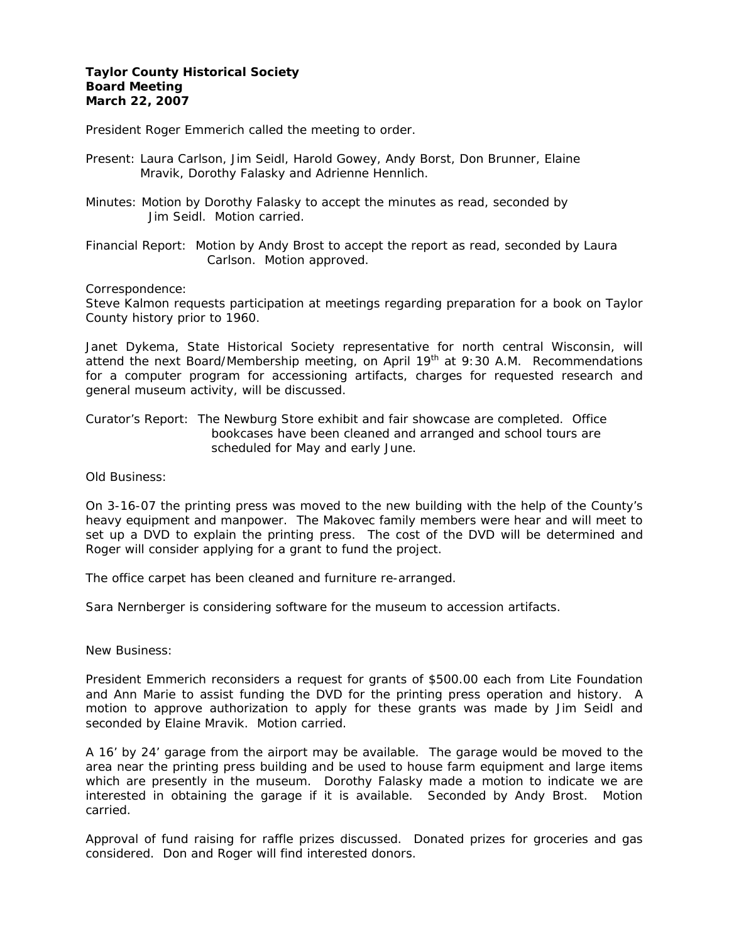# **Taylor County Historical Society Board Meeting March 22, 2007**

President Roger Emmerich called the meeting to order.

- Present: Laura Carlson, Jim Seidl, Harold Gowey, Andy Borst, Don Brunner, Elaine Mravik, Dorothy Falasky and Adrienne Hennlich.
- Minutes: Motion by Dorothy Falasky to accept the minutes as read, seconded by Jim Seidl. Motion carried.

Financial Report: Motion by Andy Brost to accept the report as read, seconded by Laura Carlson. Motion approved.

Correspondence:

Steve Kalmon requests participation at meetings regarding preparation for a book on Taylor County history prior to 1960.

Janet Dykema, State Historical Society representative for north central Wisconsin, will attend the next Board/Membership meeting, on April  $19<sup>th</sup>$  at 9:30 A.M. Recommendations for a computer program for accessioning artifacts, charges for requested research and general museum activity, will be discussed.

Curator's Report: The Newburg Store exhibit and fair showcase are completed. Office bookcases have been cleaned and arranged and school tours are scheduled for May and early June.

Old Business:

On 3-16-07 the printing press was moved to the new building with the help of the County's heavy equipment and manpower. The Makovec family members were hear and will meet to set up a DVD to explain the printing press. The cost of the DVD will be determined and Roger will consider applying for a grant to fund the project.

The office carpet has been cleaned and furniture re-arranged.

Sara Nernberger is considering software for the museum to accession artifacts.

New Business:

President Emmerich reconsiders a request for grants of \$500.00 each from Lite Foundation and Ann Marie to assist funding the DVD for the printing press operation and history. A motion to approve authorization to apply for these grants was made by Jim Seidl and seconded by Elaine Mravik. Motion carried.

A 16' by 24' garage from the airport may be available. The garage would be moved to the area near the printing press building and be used to house farm equipment and large items which are presently in the museum. Dorothy Falasky made a motion to indicate we are interested in obtaining the garage if it is available. Seconded by Andy Brost. Motion carried.

Approval of fund raising for raffle prizes discussed. Donated prizes for groceries and gas considered. Don and Roger will find interested donors.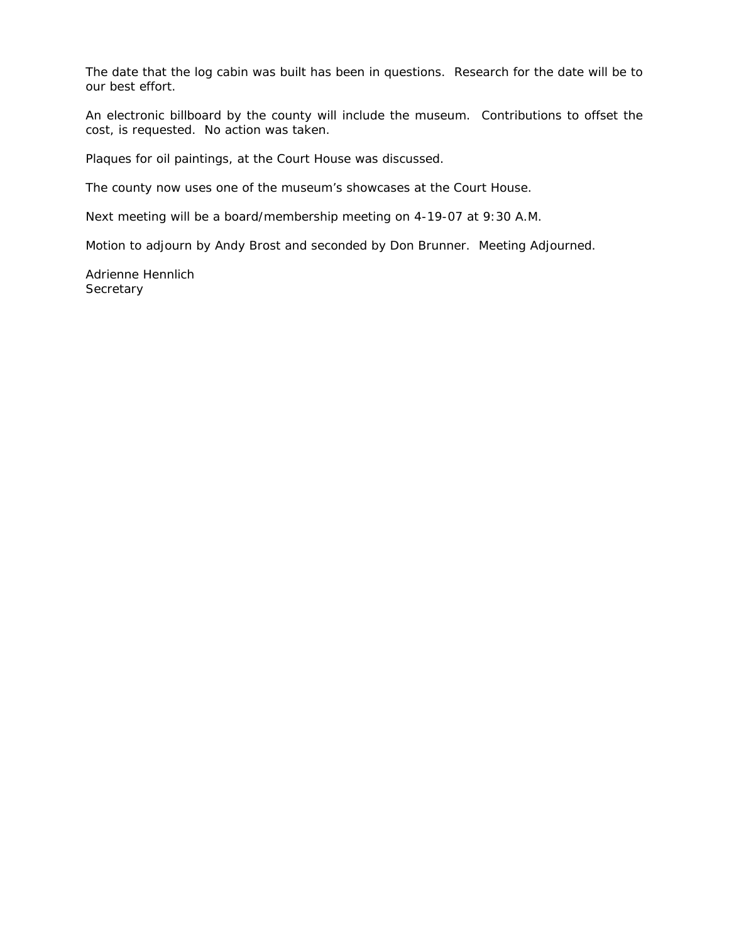The date that the log cabin was built has been in questions. Research for the date will be to our best effort.

An electronic billboard by the county will include the museum. Contributions to offset the cost, is requested. No action was taken.

Plaques for oil paintings, at the Court House was discussed.

The county now uses one of the museum's showcases at the Court House.

Next meeting will be a board/membership meeting on 4-19-07 at 9:30 A.M.

Motion to adjourn by Andy Brost and seconded by Don Brunner. Meeting Adjourned.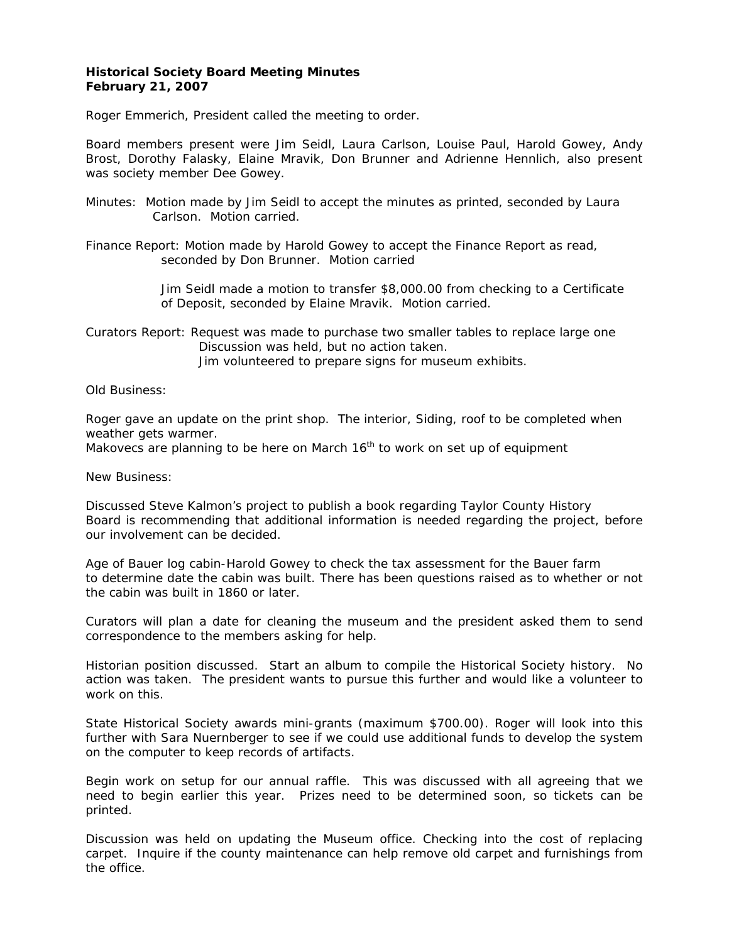# **Historical Society Board Meeting Minutes February 21, 2007**

Roger Emmerich, President called the meeting to order.

Board members present were Jim Seidl, Laura Carlson, Louise Paul, Harold Gowey, Andy Brost, Dorothy Falasky, Elaine Mravik, Don Brunner and Adrienne Hennlich, also present was society member Dee Gowey.

Minutes: Motion made by Jim Seidl to accept the minutes as printed, seconded by Laura Carlson. Motion carried.

Finance Report: Motion made by Harold Gowey to accept the Finance Report as read, seconded by Don Brunner. Motion carried

> Jim Seidl made a motion to transfer \$8,000.00 from checking to a Certificate of Deposit, seconded by Elaine Mravik. Motion carried.

Curators Report: Request was made to purchase two smaller tables to replace large one Discussion was held, but no action taken. Jim volunteered to prepare signs for museum exhibits.

Old Business:

Roger gave an update on the print shop. The interior, Siding, roof to be completed when weather gets warmer.

Makovecs are planning to be here on March  $16<sup>th</sup>$  to work on set up of equipment

New Business:

Discussed Steve Kalmon's project to publish a book regarding Taylor County History Board is recommending that additional information is needed regarding the project, before our involvement can be decided.

Age of Bauer log cabin-Harold Gowey to check the tax assessment for the Bauer farm to determine date the cabin was built. There has been questions raised as to whether or not the cabin was built in 1860 or later.

Curators will plan a date for cleaning the museum and the president asked them to send correspondence to the members asking for help.

Historian position discussed. Start an album to compile the Historical Society history. No action was taken. The president wants to pursue this further and would like a volunteer to work on this.

State Historical Society awards mini-grants (maximum \$700.00). Roger will look into this further with Sara Nuernberger to see if we could use additional funds to develop the system on the computer to keep records of artifacts.

Begin work on setup for our annual raffle. This was discussed with all agreeing that we need to begin earlier this year. Prizes need to be determined soon, so tickets can be printed.

Discussion was held on updating the Museum office. Checking into the cost of replacing carpet. Inquire if the county maintenance can help remove old carpet and furnishings from the office.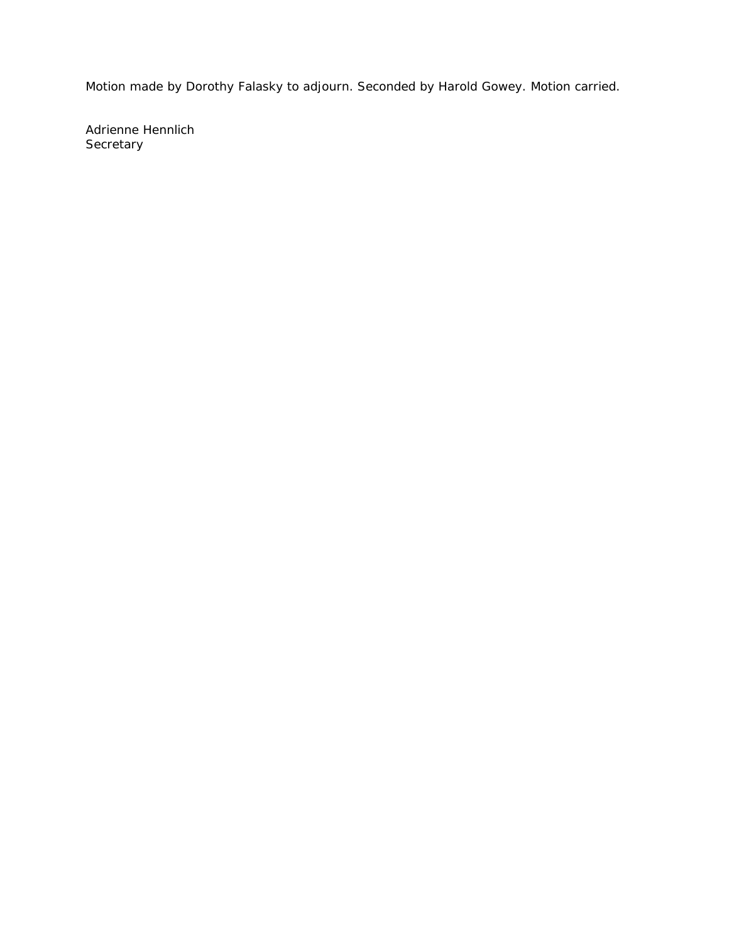Motion made by Dorothy Falasky to adjourn. Seconded by Harold Gowey. Motion carried.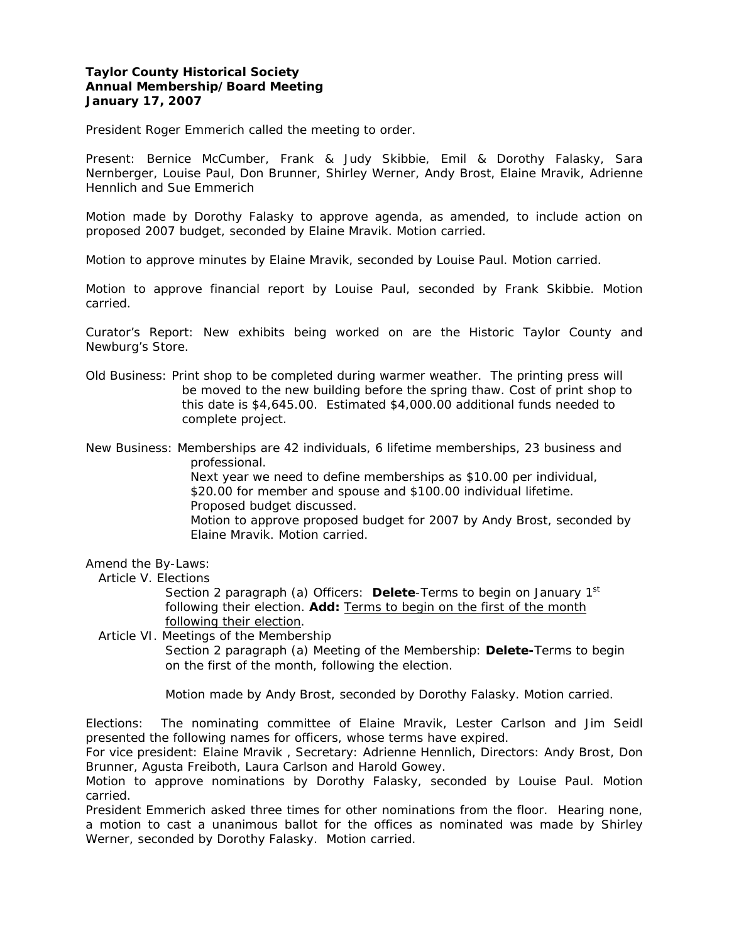# **Taylor County Historical Society Annual Membership/Board Meeting January 17, 2007**

President Roger Emmerich called the meeting to order.

Present: Bernice McCumber, Frank & Judy Skibbie, Emil & Dorothy Falasky, Sara Nernberger, Louise Paul, Don Brunner, Shirley Werner, Andy Brost, Elaine Mravik, Adrienne Hennlich and Sue Emmerich

Motion made by Dorothy Falasky to approve agenda, as amended, to include action on proposed 2007 budget, seconded by Elaine Mravik. Motion carried.

Motion to approve minutes by Elaine Mravik, seconded by Louise Paul. Motion carried.

Motion to approve financial report by Louise Paul, seconded by Frank Skibbie. Motion carried.

Curator's Report: New exhibits being worked on are the Historic Taylor County and Newburg's Store.

Old Business: Print shop to be completed during warmer weather. The printing press will be moved to the new building before the spring thaw. Cost of print shop to this date is \$4,645.00. Estimated \$4,000.00 additional funds needed to complete project.

New Business: Memberships are 42 individuals, 6 lifetime memberships, 23 business and professional.

> Next year we need to define memberships as \$10.00 per individual, \$20.00 for member and spouse and \$100.00 individual lifetime. Proposed budget discussed.

 Motion to approve proposed budget for 2007 by Andy Brost, seconded by Elaine Mravik. Motion carried.

#### Amend the By-Laws:

Article V. Elections

 Section 2 paragraph (a) Officers: **Delete**-Terms to begin on January 1st following their election. **Add:** Terms to begin on the first of the month following their election.

Article VI. Meetings of the Membership

 Section 2 paragraph (a) Meeting of the Membership: **Delete-**Terms to begin on the first of the month, following the election.

Motion made by Andy Brost, seconded by Dorothy Falasky. Motion carried.

Elections: The nominating committee of Elaine Mravik, Lester Carlson and Jim Seidl presented the following names for officers, whose terms have expired.

For vice president: Elaine Mravik , Secretary: Adrienne Hennlich, Directors: Andy Brost, Don Brunner, Agusta Freiboth, Laura Carlson and Harold Gowey.

Motion to approve nominations by Dorothy Falasky, seconded by Louise Paul. Motion carried.

President Emmerich asked three times for other nominations from the floor. Hearing none, a motion to cast a unanimous ballot for the offices as nominated was made by Shirley Werner, seconded by Dorothy Falasky. Motion carried.